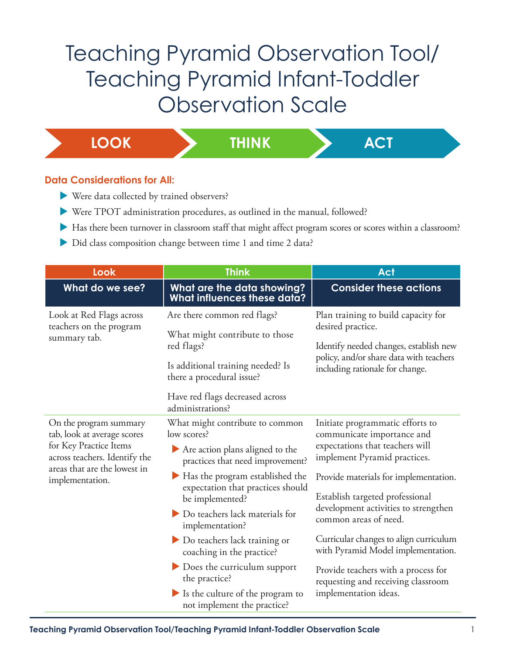## Teaching Pyramid Observation Tool/ Teaching Pyramid Infant-Toddler Observation Scale

**LOOK THINK ACT**

## **Data Considerations for All:**

- $\blacktriangleright$  Were data collected by trained observers?
- ▶ Were TPOT administration procedures, as outlined in the manual, followed?
- Has there been turnover in classroom staff that might affect program scores or scores within a classroom?
- Did class composition change between time 1 and time 2 data?

| Look                                                                                                                                                                | <b>Think</b>                                                                                                                                                                                                                                                                                                                                                                                                                                          | Act                                                                                                                                                                                                                                                                                                                                                                                                                                                                  |
|---------------------------------------------------------------------------------------------------------------------------------------------------------------------|-------------------------------------------------------------------------------------------------------------------------------------------------------------------------------------------------------------------------------------------------------------------------------------------------------------------------------------------------------------------------------------------------------------------------------------------------------|----------------------------------------------------------------------------------------------------------------------------------------------------------------------------------------------------------------------------------------------------------------------------------------------------------------------------------------------------------------------------------------------------------------------------------------------------------------------|
| What do we see?                                                                                                                                                     | What are the data showing?<br>What influences these data?                                                                                                                                                                                                                                                                                                                                                                                             | <b>Consider these actions</b>                                                                                                                                                                                                                                                                                                                                                                                                                                        |
| Look at Red Flags across<br>teachers on the program<br>summary tab.                                                                                                 | Are there common red flags?<br>What might contribute to those<br>red flags?<br>Is additional training needed? Is<br>there a procedural issue?<br>Have red flags decreased across<br>administrations?                                                                                                                                                                                                                                                  | Plan training to build capacity for<br>desired practice.<br>Identify needed changes, establish new<br>policy, and/or share data with teachers<br>including rationale for change.                                                                                                                                                                                                                                                                                     |
| On the program summary<br>tab, look at average scores<br>for Key Practice Items<br>across teachers. Identify the<br>areas that are the lowest in<br>implementation. | What might contribute to common<br>low scores?<br>Are action plans aligned to the<br>practices that need improvement?<br>Has the program established the<br>expectation that practices should<br>be implemented?<br>Do teachers lack materials for<br>implementation?<br>Do teachers lack training or<br>coaching in the practice?<br>Does the curriculum support<br>the practice?<br>Is the culture of the program to<br>not implement the practice? | Initiate programmatic efforts to<br>communicate importance and<br>expectations that teachers will<br>implement Pyramid practices.<br>Provide materials for implementation.<br>Establish targeted professional<br>development activities to strengthen<br>common areas of need.<br>Curricular changes to align curriculum<br>with Pyramid Model implementation.<br>Provide teachers with a process for<br>requesting and receiving classroom<br>implementation ideas. |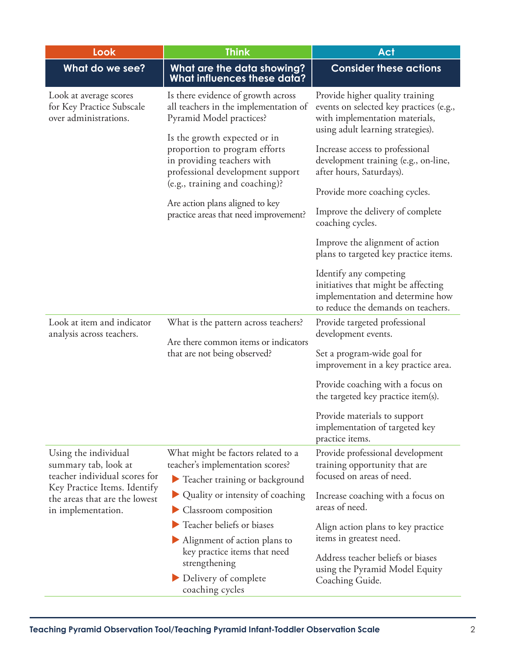| Look                                                                                                                                                                 | <b>Think</b>                                                                                                                                                                                                                                                                                                                                             | <b>Act</b>                                                                                                                                                                                                                                                                                                                                        |
|----------------------------------------------------------------------------------------------------------------------------------------------------------------------|----------------------------------------------------------------------------------------------------------------------------------------------------------------------------------------------------------------------------------------------------------------------------------------------------------------------------------------------------------|---------------------------------------------------------------------------------------------------------------------------------------------------------------------------------------------------------------------------------------------------------------------------------------------------------------------------------------------------|
| What do we see?                                                                                                                                                      | What are the data showing?<br><b>What influences these data?</b>                                                                                                                                                                                                                                                                                         | <b>Consider these actions</b>                                                                                                                                                                                                                                                                                                                     |
| Look at average scores<br>for Key Practice Subscale<br>over administrations.                                                                                         | Is there evidence of growth across<br>all teachers in the implementation of<br>Pyramid Model practices?<br>Is the growth expected or in<br>proportion to program efforts<br>in providing teachers with<br>professional development support<br>(e.g., training and coaching)?<br>Are action plans aligned to key<br>practice areas that need improvement? | Provide higher quality training<br>events on selected key practices (e.g.,<br>with implementation materials,<br>using adult learning strategies).<br>Increase access to professional<br>development training (e.g., on-line,<br>after hours, Saturdays).<br>Provide more coaching cycles.<br>Improve the delivery of complete<br>coaching cycles. |
|                                                                                                                                                                      |                                                                                                                                                                                                                                                                                                                                                          | Improve the alignment of action<br>plans to targeted key practice items.<br>Identify any competing                                                                                                                                                                                                                                                |
|                                                                                                                                                                      |                                                                                                                                                                                                                                                                                                                                                          | initiatives that might be affecting<br>implementation and determine how<br>to reduce the demands on teachers.                                                                                                                                                                                                                                     |
| Look at item and indicator<br>analysis across teachers.                                                                                                              | What is the pattern across teachers?<br>Are there common items or indicators<br>that are not being observed?                                                                                                                                                                                                                                             | Provide targeted professional<br>development events.                                                                                                                                                                                                                                                                                              |
|                                                                                                                                                                      |                                                                                                                                                                                                                                                                                                                                                          | Set a program-wide goal for<br>improvement in a key practice area.                                                                                                                                                                                                                                                                                |
|                                                                                                                                                                      |                                                                                                                                                                                                                                                                                                                                                          | Provide coaching with a focus on<br>the targeted key practice item(s).                                                                                                                                                                                                                                                                            |
|                                                                                                                                                                      |                                                                                                                                                                                                                                                                                                                                                          | Provide materials to support<br>implementation of targeted key<br>practice items.                                                                                                                                                                                                                                                                 |
| Using the individual<br>summary tab, look at<br>teacher individual scores for<br>Key Practice Items. Identify<br>the areas that are the lowest<br>in implementation. | What might be factors related to a<br>teacher's implementation scores?                                                                                                                                                                                                                                                                                   | Provide professional development<br>training opportunity that are<br>focused on areas of need.                                                                                                                                                                                                                                                    |
|                                                                                                                                                                      | Teacher training or background                                                                                                                                                                                                                                                                                                                           |                                                                                                                                                                                                                                                                                                                                                   |
|                                                                                                                                                                      | Quality or intensity of coaching<br>Classroom composition                                                                                                                                                                                                                                                                                                | Increase coaching with a focus on<br>areas of need.                                                                                                                                                                                                                                                                                               |
|                                                                                                                                                                      | Teacher beliefs or biases                                                                                                                                                                                                                                                                                                                                | Align action plans to key practice                                                                                                                                                                                                                                                                                                                |
|                                                                                                                                                                      | Alignment of action plans to<br>key practice items that need<br>strengthening<br>Delivery of complete<br>coaching cycles                                                                                                                                                                                                                                 | items in greatest need.<br>Address teacher beliefs or biases<br>using the Pyramid Model Equity<br>Coaching Guide.                                                                                                                                                                                                                                 |